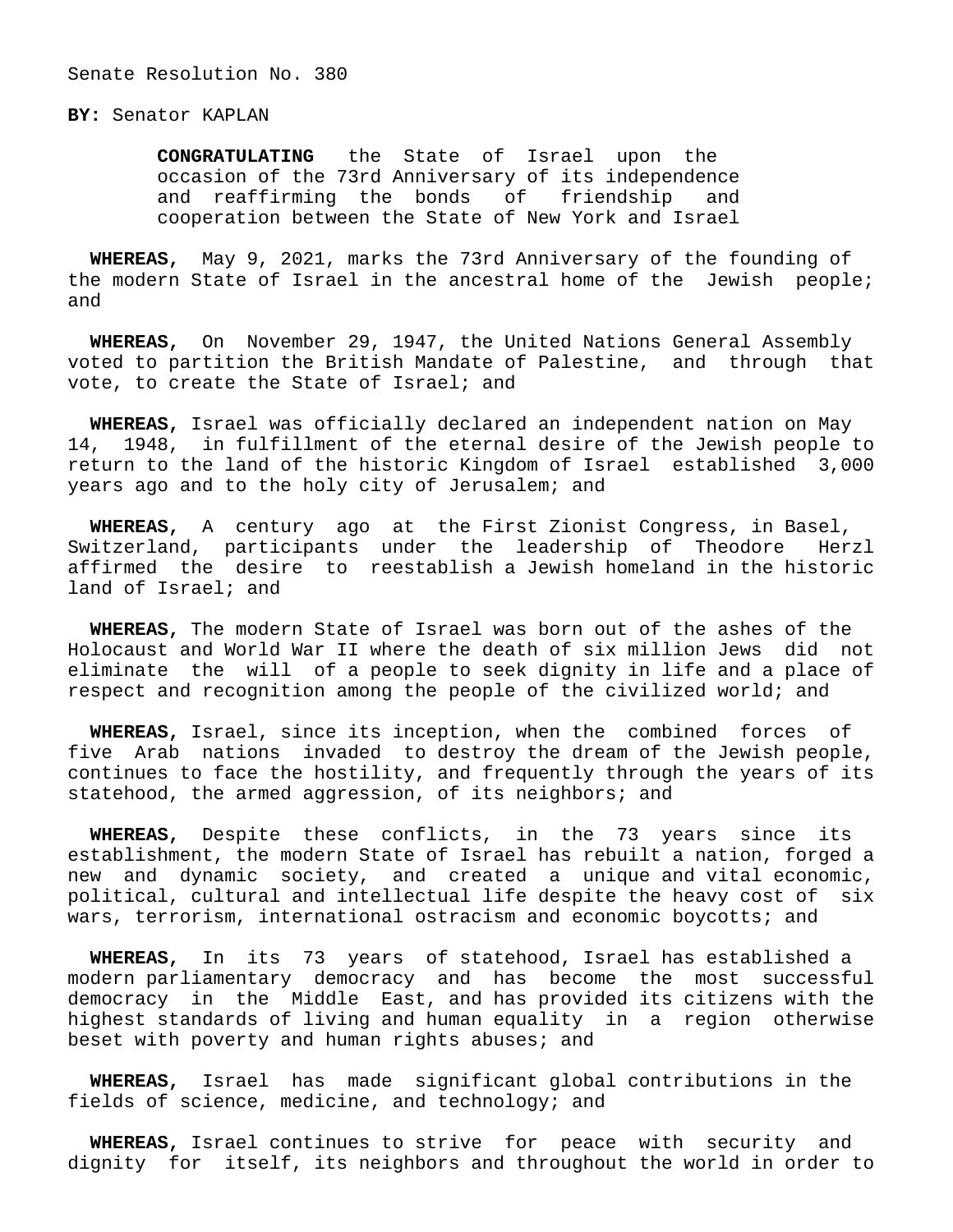## **BY:** Senator KAPLAN

 **CONGRATULATING** the State of Israel upon the occasion of the 73rd Anniversary of its independence and reaffirming the bonds of friendship and cooperation between the State of New York and Israel

 **WHEREAS,** May 9, 2021, marks the 73rd Anniversary of the founding of the modern State of Israel in the ancestral home of the Jewish people; and

 **WHEREAS,** On November 29, 1947, the United Nations General Assembly voted to partition the British Mandate of Palestine, and through that vote, to create the State of Israel; and

 **WHEREAS,** Israel was officially declared an independent nation on May 14, 1948, in fulfillment of the eternal desire of the Jewish people to return to the land of the historic Kingdom of Israel established 3,000 years ago and to the holy city of Jerusalem; and

 **WHEREAS,** A century ago at the First Zionist Congress, in Basel, Switzerland, participants under the leadership of Theodore Herzl affirmed the desire to reestablish a Jewish homeland in the historic land of Israel; and

 **WHEREAS,** The modern State of Israel was born out of the ashes of the Holocaust and World War II where the death of six million Jews did not eliminate the will of a people to seek dignity in life and a place of respect and recognition among the people of the civilized world; and

 **WHEREAS,** Israel, since its inception, when the combined forces of five Arab nations invaded to destroy the dream of the Jewish people, continues to face the hostility, and frequently through the years of its statehood, the armed aggression, of its neighbors; and

 **WHEREAS,** Despite these conflicts, in the 73 years since its establishment, the modern State of Israel has rebuilt a nation, forged a new and dynamic society, and created a unique and vital economic, political, cultural and intellectual life despite the heavy cost of six wars, terrorism, international ostracism and economic boycotts; and

 **WHEREAS,** In its 73 years of statehood, Israel has established a modern parliamentary democracy and has become the most successful democracy in the Middle East, and has provided its citizens with the highest standards of living and human equality in a region otherwise beset with poverty and human rights abuses; and

 **WHEREAS,** Israel has made significant global contributions in the fields of science, medicine, and technology; and

 **WHEREAS,** Israel continues to strive for peace with security and dignity for itself, its neighbors and throughout the world in order to